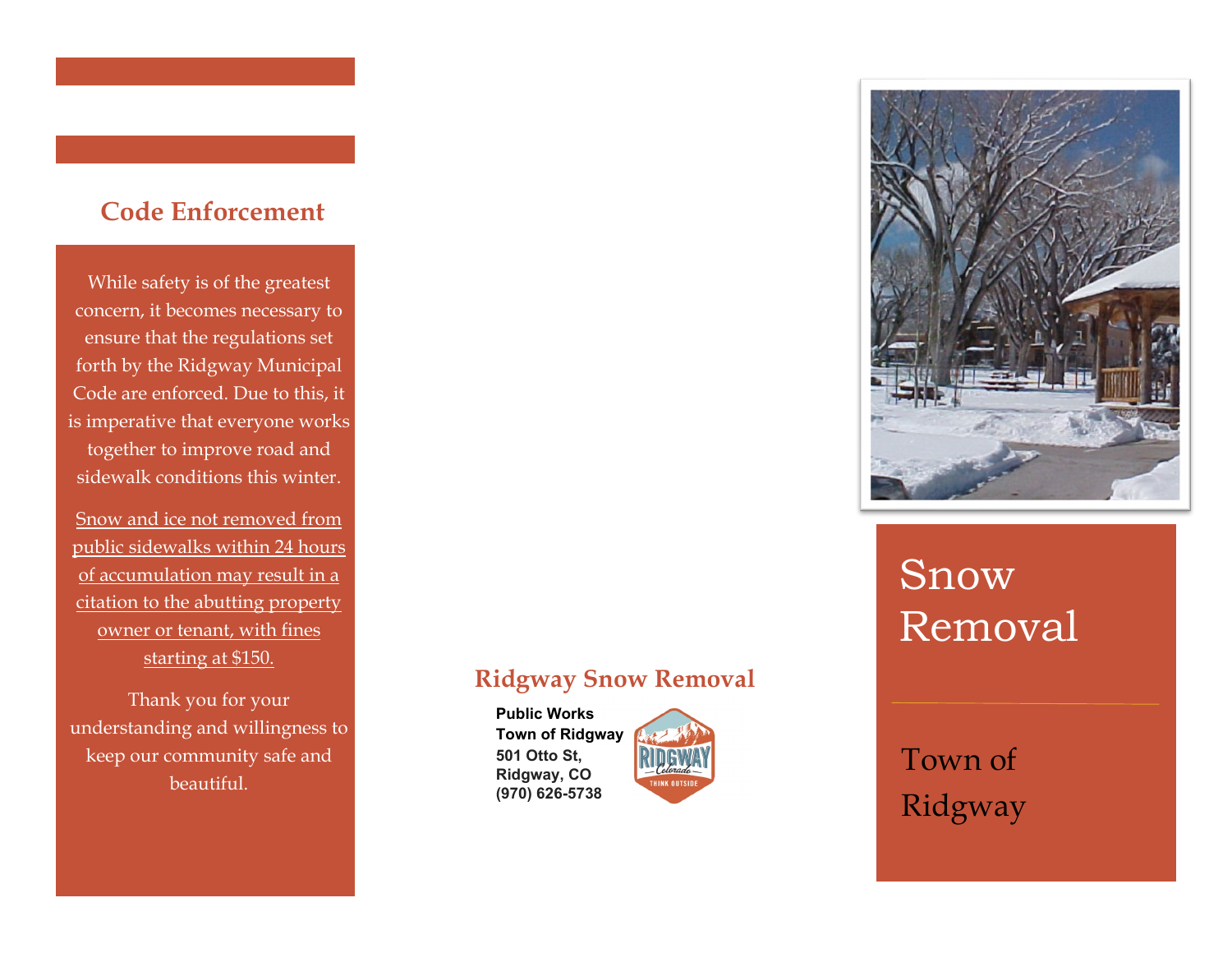## **Code Enforcement**

While safety is of the greatest concern, it becomes necessary to ensure that the regulations set forth by the Ridgway Municipal Code are enforced. Due to this, it is imperative that everyone works together to improve road and sidewalk conditions this winter.

Snow and ice not removed from public sidewalks within 24 hours of accumulation may result in a citation to the abutting property owner or tenant, with fines starting at \$150.

Thank you for your understanding and willingness to keep our community safe and beautiful.

## **Ridgway Snow Removal**

**Public Works Town of Ridgway 501 Otto St, Ridgway, CO (970) 626-5738**





# Snow Removal

Town of Ridgway